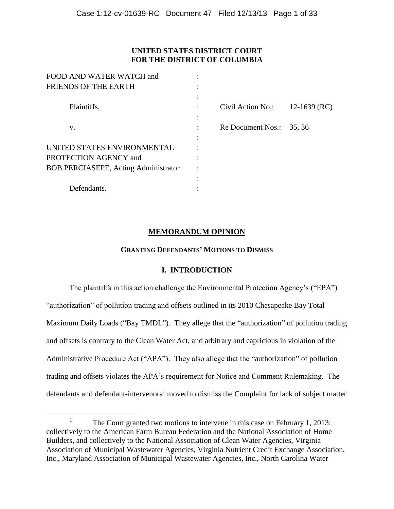# **UNITED STATES DISTRICT COURT FOR THE DISTRICT OF COLUMBIA**

| FOOD AND WATER WATCH and                    |                   |                |
|---------------------------------------------|-------------------|----------------|
| <b>FRIENDS OF THE EARTH</b>                 |                   |                |
|                                             |                   |                |
| Plaintiffs,                                 | Civil Action No.: | $12-1639$ (RC) |
|                                             |                   |                |
| V.                                          | Re Document Nos.: | 35, 36         |
|                                             |                   |                |
| UNITED STATES ENVIRONMENTAL                 |                   |                |
| PROTECTION AGENCY and                       |                   |                |
| <b>BOB PERCIASEPE, Acting Administrator</b> |                   |                |
|                                             |                   |                |
| Defendants.                                 |                   |                |

# **MEMORANDUM OPINION**

## **GRANTING DEFENDANTS' MOTIONS TO DISMISS**

## **I. INTRODUCTION**

The plaintiffs in this action challenge the Environmental Protection Agency's ("EPA") "authorization" of pollution trading and offsets outlined in its 2010 Chesapeake Bay Total Maximum Daily Loads ("Bay TMDL"). They allege that the "authorization" of pollution trading and offsets is contrary to the Clean Water Act, and arbitrary and capricious in violation of the Administrative Procedure Act ("APA"). They also allege that the "authorization" of pollution trading and offsets violates the APA's requirement for Notice and Comment Rulemaking. The defendants and defendant-intervenors<sup>1</sup> moved to dismiss the Complaint for lack of subject matter

<sup>1</sup> The Court granted two motions to intervene in this case on February 1, 2013: collectively to the American Farm Bureau Federation and the National Association of Home Builders, and collectively to the National Association of Clean Water Agencies, Virginia Association of Municipal Wastewater Agencies, Virginia Nutrient Credit Exchange Association, Inc., Maryland Association of Municipal Wastewater Agencies, Inc., North Carolina Water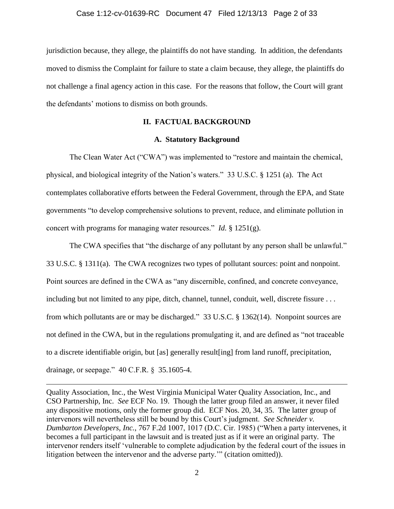jurisdiction because, they allege, the plaintiffs do not have standing. In addition, the defendants moved to dismiss the Complaint for failure to state a claim because, they allege, the plaintiffs do not challenge a final agency action in this case. For the reasons that follow, the Court will grant the defendants' motions to dismiss on both grounds.

# **II. FACTUAL BACKGROUND**

## **A. Statutory Background**

The Clean Water Act ("CWA") was implemented to "restore and maintain the chemical, physical, and biological integrity of the Nation's waters." 33 U.S.C. § 1251 (a). The Act contemplates collaborative efforts between the Federal Government, through the EPA, and State governments "to develop comprehensive solutions to prevent, reduce, and eliminate pollution in concert with programs for managing water resources." *Id.* § 1251(g).

The CWA specifies that "the discharge of any pollutant by any person shall be unlawful." 33 U.S.C. § 1311(a). The CWA recognizes two types of pollutant sources: point and nonpoint. Point sources are defined in the CWA as "any discernible, confined, and concrete conveyance, including but not limited to any pipe, ditch, channel, tunnel, conduit, well, discrete fissure . . . from which pollutants are or may be discharged." 33 U.S.C. § 1362(14). Nonpoint sources are not defined in the CWA, but in the regulations promulgating it, and are defined as "not traceable to a discrete identifiable origin, but [as] generally result[ing] from land runoff, precipitation, drainage, or seepage." 40 C.F.R. § 35.1605-4.

Quality Association, Inc., the West Virginia Municipal Water Quality Association, Inc., and CSO Partnership, Inc. *See* ECF No. 19. Though the latter group filed an answer, it never filed any dispositive motions, only the former group did. ECF Nos. 20, 34, 35. The latter group of intervenors will nevertheless still be bound by this Court's judgment. *See Schneider v. Dumbarton Developers, Inc.*, 767 F.2d 1007, 1017 (D.C. Cir. 1985) ("When a party intervenes, it becomes a full participant in the lawsuit and is treated just as if it were an original party. The intervenor renders itself 'vulnerable to complete adjudication by the federal court of the issues in litigation between the intervenor and the adverse party.'" (citation omitted)).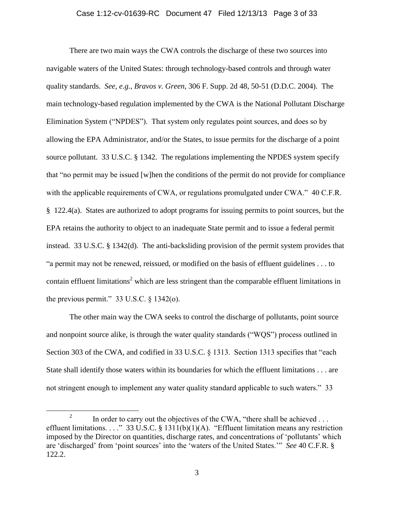## Case 1:12-cv-01639-RC Document 47 Filed 12/13/13 Page 3 of 33

There are two main ways the CWA controls the discharge of these two sources into navigable waters of the United States: through technology-based controls and through water quality standards. *See, e.g.*, *Bravos v. Green*, 306 F. Supp. 2d 48, 50-51 (D.D.C. 2004). The main technology-based regulation implemented by the CWA is the National Pollutant Discharge Elimination System ("NPDES"). That system only regulates point sources, and does so by allowing the EPA Administrator, and/or the States, to issue permits for the discharge of a point source pollutant. 33 U.S.C. § 1342. The regulations implementing the NPDES system specify that "no permit may be issued [w]hen the conditions of the permit do not provide for compliance with the applicable requirements of CWA, or regulations promulgated under CWA." 40 C.F.R. § 122.4(a). States are authorized to adopt programs for issuing permits to point sources, but the EPA retains the authority to object to an inadequate State permit and to issue a federal permit instead. 33 U.S.C. § 1342(d). The anti-backsliding provision of the permit system provides that "a permit may not be renewed, reissued, or modified on the basis of effluent guidelines . . . to contain effluent limitations<sup>2</sup> which are less stringent than the comparable effluent limitations in the previous permit."  $33 \text{ U.S.C.} \$  \$1342(o).

The other main way the CWA seeks to control the discharge of pollutants, point source and nonpoint source alike, is through the water quality standards ("WQS") process outlined in Section 303 of the CWA, and codified in 33 U.S.C. § 1313. Section 1313 specifies that "each State shall identify those waters within its boundaries for which the effluent limitations . . . are not stringent enough to implement any water quality standard applicable to such waters." 33

<sup>2</sup> In order to carry out the objectives of the CWA, "there shall be achieved . . . effluent limitations. . . ." 33 U.S.C. § 1311(b)(1)(A). "Effluent limitation means any restriction imposed by the Director on quantities, discharge rates, and concentrations of 'pollutants' which are 'discharged' from 'point sources' into the 'waters of the United States.'" *See* 40 C.F.R. § 122.2.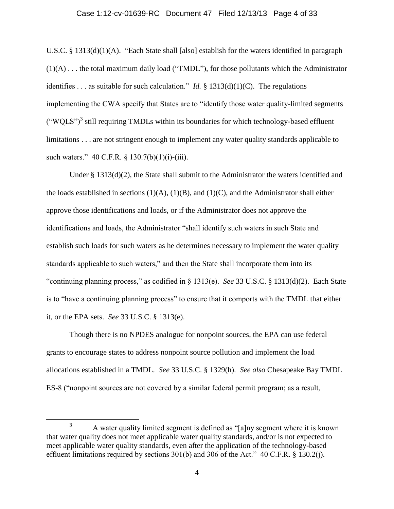## Case 1:12-cv-01639-RC Document 47 Filed 12/13/13 Page 4 of 33

U.S.C. § 1313(d)(1)(A). "Each State shall [also] establish for the waters identified in paragraph (1)(A) . . . the total maximum daily load ("TMDL"), for those pollutants which the Administrator identifies . . . as suitable for such calculation." *Id.*  $\frac{1}{2}$  1313(d)(1)(C). The regulations implementing the CWA specify that States are to "identify those water quality-limited segments  $("WQLS")<sup>3</sup>$  still requiring TMDLs within its boundaries for which technology-based effluent limitations . . . are not stringent enough to implement any water quality standards applicable to such waters." 40 C.F.R. § 130.7(b)(1)(i)-(iii).

Under  $\S 1313(d)(2)$ , the State shall submit to the Administrator the waters identified and the loads established in sections  $(1)(A)$ ,  $(1)(B)$ , and  $(1)(C)$ , and the Administrator shall either approve those identifications and loads, or if the Administrator does not approve the identifications and loads, the Administrator "shall identify such waters in such State and establish such loads for such waters as he determines necessary to implement the water quality standards applicable to such waters," and then the State shall incorporate them into its "continuing planning process," as codified in § 1313(e). *See* 33 U.S.C. § 1313(d)(2). Each State is to "have a continuing planning process" to ensure that it comports with the TMDL that either it, or the EPA sets. *See* 33 U.S.C. § 1313(e).

Though there is no NPDES analogue for nonpoint sources, the EPA can use federal grants to encourage states to address nonpoint source pollution and implement the load allocations established in a TMDL. *See* 33 U.S.C. § 1329(h). *See also* Chesapeake Bay TMDL ES-8 ("nonpoint sources are not covered by a similar federal permit program; as a result,

<sup>&</sup>lt;sup>3</sup> A water quality limited segment is defined as "[a]ny segment where it is known that water quality does not meet applicable water quality standards, and/or is not expected to meet applicable water quality standards, even after the application of the technology-based effluent limitations required by sections 301(b) and 306 of the Act." 40 C.F.R. § 130.2(j).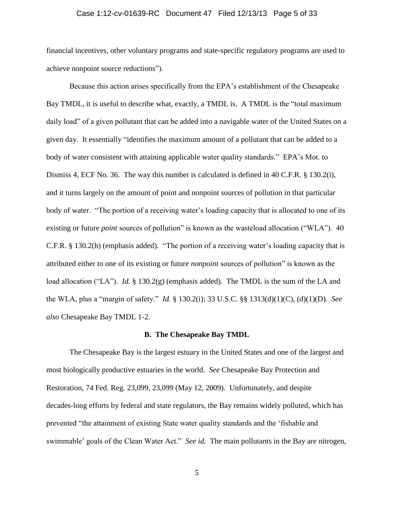## Case 1:12-cv-01639-RC Document 47 Filed 12/13/13 Page 5 of 33

financial incentives, other voluntary programs and state-specific regulatory programs are used to achieve nonpoint source reductions").

Because this action arises specifically from the EPA's establishment of the Chesapeake Bay TMDL, it is useful to describe what, exactly, a TMDL is. A TMDL is the "total maximum daily load" of a given pollutant that can be added into a navigable water of the United States on a given day. It essentially "identifies the maximum amount of a pollutant that can be added to a body of water consistent with attaining applicable water quality standards." EPA's Mot. to Dismiss 4, ECF No. 36. The way this number is calculated is defined in 40 C.F.R. § 130.2(i), and it turns largely on the amount of point and nonpoint sources of pollution in that particular body of water. "The portion of a receiving water's loading capacity that is allocated to one of its existing or future *point* sources of pollution" is known as the wasteload allocation ("WLA"). 40 C.F.R. § 130.2(h) (emphasis added). "The portion of a receiving water's loading capacity that is attributed either to one of its existing or future *nonpoint* sources of pollution" is known as the load allocation ("LA"). *Id.* § 130.2(g) (emphasis added). The TMDL is the sum of the LA and the WLA, plus a "margin of safety." *Id.* § 130.2(i); 33 U.S.C. §§ 1313(d)(1)(C), (d)(1)(D). *See also* Chesapeake Bay TMDL 1-2.

### **B. The Chesapeake Bay TMDL**

The Chesapeake Bay is the largest estuary in the United States and one of the largest and most biologically productive estuaries in the world. *See* Chesapeake Bay Protection and Restoration, 74 Fed. Reg. 23,099, 23,099 (May 12, 2009). Unfortunately, and despite decades-long efforts by federal and state regulators, the Bay remains widely polluted, which has prevented "the attainment of existing State water quality standards and the 'fishable and swimmable' goals of the Clean Water Act." *See id.* The main pollutants in the Bay are nitrogen,

5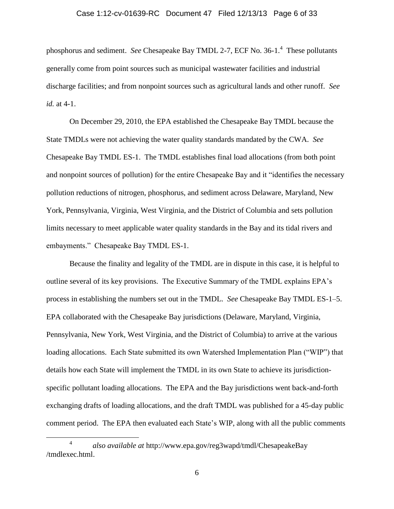## Case 1:12-cv-01639-RC Document 47 Filed 12/13/13 Page 6 of 33

phosphorus and sediment. *See* Chesapeake Bay TMDL 2-7, ECF No. 36-1. 4 These pollutants generally come from point sources such as municipal wastewater facilities and industrial discharge facilities; and from nonpoint sources such as agricultural lands and other runoff. *See id.* at 4-1.

On December 29, 2010, the EPA established the Chesapeake Bay TMDL because the State TMDLs were not achieving the water quality standards mandated by the CWA. *See* Chesapeake Bay TMDL ES-1. The TMDL establishes final load allocations (from both point and nonpoint sources of pollution) for the entire Chesapeake Bay and it "identifies the necessary pollution reductions of nitrogen, phosphorus, and sediment across Delaware, Maryland, New York, Pennsylvania, Virginia, West Virginia, and the District of Columbia and sets pollution limits necessary to meet applicable water quality standards in the Bay and its tidal rivers and embayments." Chesapeake Bay TMDL ES-1.

Because the finality and legality of the TMDL are in dispute in this case, it is helpful to outline several of its key provisions. The Executive Summary of the TMDL explains EPA's process in establishing the numbers set out in the TMDL. *See* Chesapeake Bay TMDL ES-1–5. EPA collaborated with the Chesapeake Bay jurisdictions (Delaware, Maryland, Virginia, Pennsylvania, New York, West Virginia, and the District of Columbia) to arrive at the various loading allocations. Each State submitted its own Watershed Implementation Plan ("WIP") that details how each State will implement the TMDL in its own State to achieve its jurisdictionspecific pollutant loading allocations. The EPA and the Bay jurisdictions went back-and-forth exchanging drafts of loading allocations, and the draft TMDL was published for a 45-day public comment period. The EPA then evaluated each State's WIP, along with all the public comments

<sup>4</sup> *also available at* http://www.epa.gov/reg3wapd/tmdl/ChesapeakeBay /tmdlexec.html.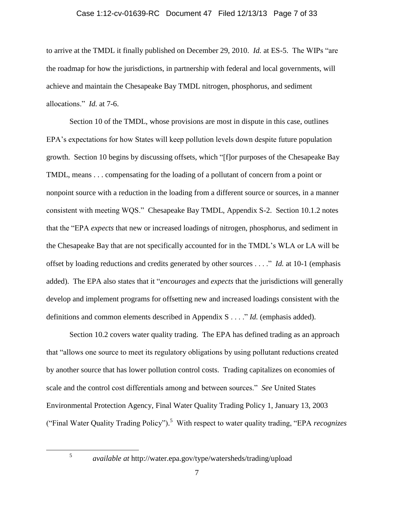## Case 1:12-cv-01639-RC Document 47 Filed 12/13/13 Page 7 of 33

to arrive at the TMDL it finally published on December 29, 2010. *Id.* at ES-5. The WIPs "are the roadmap for how the jurisdictions, in partnership with federal and local governments, will achieve and maintain the Chesapeake Bay TMDL nitrogen, phosphorus, and sediment allocations." *Id.* at 7-6.

Section 10 of the TMDL, whose provisions are most in dispute in this case, outlines EPA's expectations for how States will keep pollution levels down despite future population growth. Section 10 begins by discussing offsets, which "[f]or purposes of the Chesapeake Bay TMDL, means . . . compensating for the loading of a pollutant of concern from a point or nonpoint source with a reduction in the loading from a different source or sources, in a manner consistent with meeting WQS." Chesapeake Bay TMDL, Appendix S-2. Section 10.1.2 notes that the "EPA *expects* that new or increased loadings of nitrogen, phosphorus, and sediment in the Chesapeake Bay that are not specifically accounted for in the TMDL's WLA or LA will be offset by loading reductions and credits generated by other sources . . . ." *Id.* at 10-1 (emphasis added). The EPA also states that it "*encourages* and *expects* that the jurisdictions will generally develop and implement programs for offsetting new and increased loadings consistent with the definitions and common elements described in Appendix S . . . ." *Id.* (emphasis added).

Section 10.2 covers water quality trading. The EPA has defined trading as an approach that "allows one source to meet its regulatory obligations by using pollutant reductions created by another source that has lower pollution control costs. Trading capitalizes on economies of scale and the control cost differentials among and between sources." *See* United States Environmental Protection Agency, Final Water Quality Trading Policy 1, January 13, 2003 ("Final Water Quality Trading Policy"). 5 With respect to water quality trading, "EPA *recognizes*

5

*available at* http://water.epa.gov/type/watersheds/trading/upload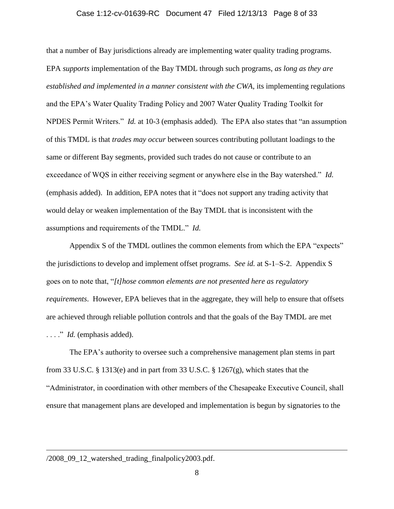## Case 1:12-cv-01639-RC Document 47 Filed 12/13/13 Page 8 of 33

that a number of Bay jurisdictions already are implementing water quality trading programs. EPA *supports* implementation of the Bay TMDL through such programs, *as long as they are established and implemented in a manner consistent with the CWA*, its implementing regulations and the EPA's Water Quality Trading Policy and 2007 Water Quality Trading Toolkit for NPDES Permit Writers." *Id.* at 10-3 (emphasis added). The EPA also states that "an assumption of this TMDL is that *trades may occur* between sources contributing pollutant loadings to the same or different Bay segments, provided such trades do not cause or contribute to an exceedance of WQS in either receiving segment or anywhere else in the Bay watershed." *Id.* (emphasis added). In addition, EPA notes that it "does not support any trading activity that would delay or weaken implementation of the Bay TMDL that is inconsistent with the assumptions and requirements of the TMDL." *Id.*

Appendix S of the TMDL outlines the common elements from which the EPA "expects" the jurisdictions to develop and implement offset programs. *See id.* at S-1‒S-2. Appendix S goes on to note that, "*[t]hose common elements are not presented here as regulatory requirements*. However, EPA believes that in the aggregate, they will help to ensure that offsets are achieved through reliable pollution controls and that the goals of the Bay TMDL are met . . . ." *Id.* (emphasis added).

The EPA's authority to oversee such a comprehensive management plan stems in part from 33 U.S.C. § 1313(e) and in part from 33 U.S.C. § 1267(g), which states that the "Administrator, in coordination with other members of the Chesapeake Executive Council, shall ensure that management plans are developed and implementation is begun by signatories to the

## /2008\_09\_12\_watershed\_trading\_finalpolicy2003.pdf.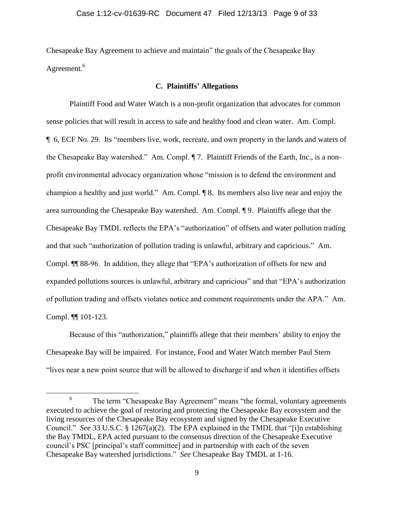Chesapeake Bay Agreement to achieve and maintain" the goals of the Chesapeake Bay Agreement.<sup>6</sup>

## **C. Plaintiffs' Allegations**

Plaintiff Food and Water Watch is a non-profit organization that advocates for common sense policies that will result in access to safe and healthy food and clean water. Am. Compl. ¶ 6, ECF No. 29. Its "members live, work, recreate, and own property in the lands and waters of the Chesapeake Bay watershed." Am. Compl. ¶ 7. Plaintiff Friends of the Earth, Inc., is a nonprofit environmental advocacy organization whose "mission is to defend the environment and champion a healthy and just world." Am. Compl. ¶ 8. Its members also live near and enjoy the area surrounding the Chesapeake Bay watershed. Am. Compl. ¶ 9. Plaintiffs allege that the Chesapeake Bay TMDL reflects the EPA's "authorization" of offsets and water pollution trading and that such "authorization of pollution trading is unlawful, arbitrary and capricious." Am. Compl. ¶¶ 88-96. In addition, they allege that "EPA's authorization of offsets for new and expanded pollutions sources is unlawful, arbitrary and capricious" and that "EPA's authorization of pollution trading and offsets violates notice and comment requirements under the APA." Am. Compl. ¶¶ 101-123.

Because of this "authorization," plaintiffs allege that their members' ability to enjoy the Chesapeake Bay will be impaired. For instance, Food and Water Watch member Paul Stern "lives near a new point source that will be allowed to discharge if and when it identifies offsets

<sup>6</sup> The term "Chesapeake Bay Agreement" means "the formal, voluntary agreements executed to achieve the goal of restoring and protecting the Chesapeake Bay ecosystem and the living resources of the Chesapeake Bay ecosystem and signed by the Chesapeake Executive Council." *See* 33 U.S.C. § 1267(a)(2). The EPA explained in the TMDL that "[i]n establishing the Bay TMDL, EPA acted pursuant to the consensus direction of the Chesapeake Executive council's PSC [principal's staff committee] and in partnership with each of the seven Chesapeake Bay watershed jurisdictions." *See* Chesapeake Bay TMDL at 1-16.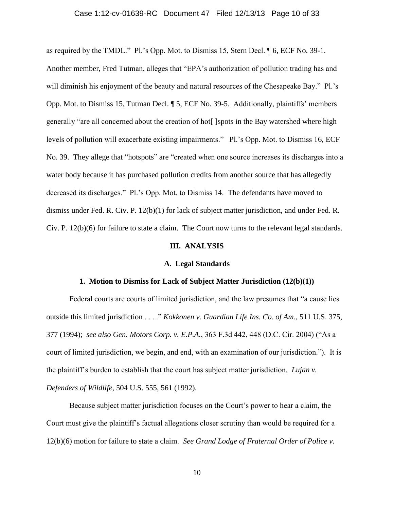## Case 1:12-cv-01639-RC Document 47 Filed 12/13/13 Page 10 of 33

as required by the TMDL." Pl.'s Opp. Mot. to Dismiss 15, Stern Decl. ¶ 6, ECF No. 39-1. Another member, Fred Tutman, alleges that "EPA's authorization of pollution trading has and will diminish his enjoyment of the beauty and natural resources of the Chesapeake Bay." Pl.'s Opp. Mot. to Dismiss 15, Tutman Decl. ¶ 5, ECF No. 39-5. Additionally, plaintiffs' members generally "are all concerned about the creation of hot[ ]spots in the Bay watershed where high levels of pollution will exacerbate existing impairments." Pl.'s Opp. Mot. to Dismiss 16, ECF No. 39. They allege that "hotspots" are "created when one source increases its discharges into a water body because it has purchased pollution credits from another source that has allegedly decreased its discharges." Pl.'s Opp. Mot. to Dismiss 14. The defendants have moved to dismiss under Fed. R. Civ. P. 12(b)(1) for lack of subject matter jurisdiction, and under Fed. R. Civ. P. 12(b)(6) for failure to state a claim. The Court now turns to the relevant legal standards.

#### **III. ANALYSIS**

### **A. Legal Standards**

## **1. Motion to Dismiss for Lack of Subject Matter Jurisdiction (12(b)(1))**

Federal courts are courts of limited jurisdiction, and the law presumes that "a cause lies outside this limited jurisdiction . . . ." *Kokkonen v. Guardian Life Ins. Co. of Am.*, 511 U.S. 375, 377 (1994); *see also Gen. Motors Corp. v. E.P.A.*, 363 F.3d 442, 448 (D.C. Cir. 2004) ("As a court of limited jurisdiction, we begin, and end, with an examination of our jurisdiction."). It is the plaintiff's burden to establish that the court has subject matter jurisdiction. *Lujan v. Defenders of Wildlife*, 504 U.S. 555, 561 (1992).

Because subject matter jurisdiction focuses on the Court's power to hear a claim, the Court must give the plaintiff's factual allegations closer scrutiny than would be required for a 12(b)(6) motion for failure to state a claim. *See Grand Lodge of Fraternal Order of Police v.*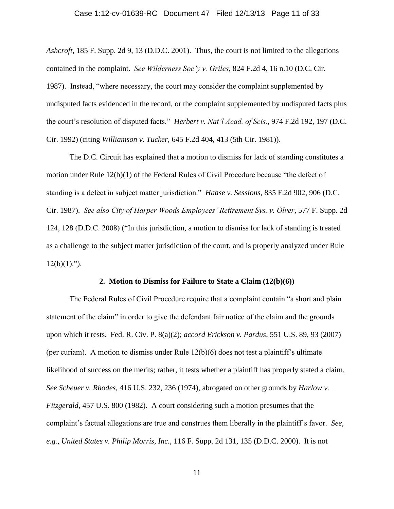#### Case 1:12-cv-01639-RC Document 47 Filed 12/13/13 Page 11 of 33

*Ashcroft*, 185 F. Supp. 2d 9, 13 (D.D.C. 2001). Thus, the court is not limited to the allegations contained in the complaint. *See Wilderness Soc'y v. Griles*, 824 F.2d 4, 16 n.10 (D.C. Cir. 1987). Instead, "where necessary, the court may consider the complaint supplemented by undisputed facts evidenced in the record, or the complaint supplemented by undisputed facts plus the court's resolution of disputed facts." *Herbert v. Nat'l Acad. of Scis.*, 974 F.2d 192, 197 (D.C. Cir. 1992) (citing *Williamson v. Tucker*, 645 F.2d 404, 413 (5th Cir. 1981)).

The D.C. Circuit has explained that a motion to dismiss for lack of standing constitutes a motion under Rule 12(b)(1) of the Federal Rules of Civil Procedure because "the defect of standing is a defect in subject matter jurisdiction." *Haase v. Sessions*, 835 F.2d 902, 906 (D.C. Cir. 1987). *See also City of Harper Woods Employees' Retirement Sys. v. Olver*, 577 F. Supp. 2d 124, 128 (D.D.C. 2008) ("In this jurisdiction, a motion to dismiss for lack of standing is treated as a challenge to the subject matter jurisdiction of the court, and is properly analyzed under Rule  $12(b)(1)$ .").

## **2. Motion to Dismiss for Failure to State a Claim (12(b)(6))**

The Federal Rules of Civil Procedure require that a complaint contain "a short and plain statement of the claim" in order to give the defendant fair notice of the claim and the grounds upon which it rests. Fed. R. Civ. P. 8(a)(2); *accord Erickson v. Pardus*, 551 U.S. 89, 93 (2007) (per curiam). A motion to dismiss under Rule 12(b)(6) does not test a plaintiff's ultimate likelihood of success on the merits; rather, it tests whether a plaintiff has properly stated a claim. *See Scheuer v. Rhodes*, 416 U.S. 232, 236 (1974), abrogated on other grounds by *Harlow v. Fitzgerald*, 457 U.S. 800 (1982). A court considering such a motion presumes that the complaint's factual allegations are true and construes them liberally in the plaintiff's favor. *See, e.g.*, *United States v. Philip Morris, Inc.*, 116 F. Supp. 2d 131, 135 (D.D.C. 2000). It is not

11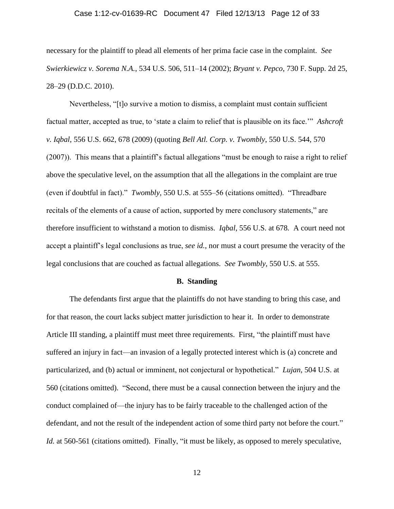# Case 1:12-cv-01639-RC Document 47 Filed 12/13/13 Page 12 of 33

necessary for the plaintiff to plead all elements of her prima facie case in the complaint. *See Swierkiewicz v. Sorema N.A.*, 534 U.S. 506, 511–14 (2002); *Bryant v. Pepco*, 730 F. Supp. 2d 25, 28–29 (D.D.C. 2010).

Nevertheless, "[t]o survive a motion to dismiss, a complaint must contain sufficient factual matter, accepted as true, to 'state a claim to relief that is plausible on its face.'" *Ashcroft v. Iqbal*, 556 U.S. 662, 678 (2009) (quoting *Bell Atl. Corp. v. Twombly*, 550 U.S. 544, 570 (2007)). This means that a plaintiff's factual allegations "must be enough to raise a right to relief above the speculative level, on the assumption that all the allegations in the complaint are true (even if doubtful in fact)." *Twombly*, 550 U.S. at 555–56 (citations omitted). "Threadbare recitals of the elements of a cause of action, supported by mere conclusory statements," are therefore insufficient to withstand a motion to dismiss. *Iqbal*, 556 U.S. at 678*.* A court need not accept a plaintiff's legal conclusions as true, *see id.*, nor must a court presume the veracity of the legal conclusions that are couched as factual allegations. *See Twombly*, 550 U.S. at 555.

#### **B. Standing**

The defendants first argue that the plaintiffs do not have standing to bring this case, and for that reason, the court lacks subject matter jurisdiction to hear it. In order to demonstrate Article III standing, a plaintiff must meet three requirements. First, "the plaintiff must have suffered an injury in fact—an invasion of a legally protected interest which is (a) concrete and particularized, and (b) actual or imminent, not conjectural or hypothetical." *Lujan*, 504 U.S. at 560 (citations omitted). "Second, there must be a causal connection between the injury and the conduct complained of—the injury has to be fairly traceable to the challenged action of the defendant, and not the result of the independent action of some third party not before the court." Id. at 560-561 (citations omitted). Finally, "it must be likely, as opposed to merely speculative,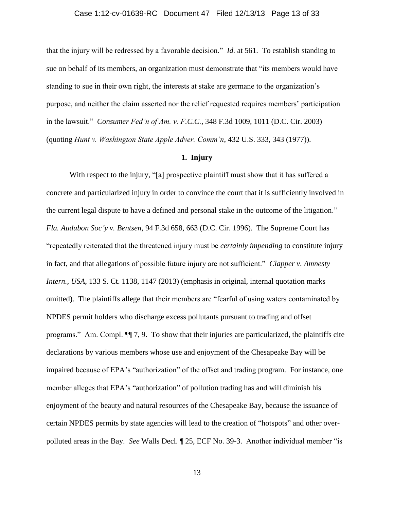## Case 1:12-cv-01639-RC Document 47 Filed 12/13/13 Page 13 of 33

that the injury will be redressed by a favorable decision." *Id.* at 561. To establish standing to sue on behalf of its members, an organization must demonstrate that "its members would have standing to sue in their own right, the interests at stake are germane to the organization's purpose, and neither the claim asserted nor the relief requested requires members' participation in the lawsuit." *Consumer Fed'n of Am. v. F.C.C.*, 348 F.3d 1009, 1011 (D.C. Cir. 2003) (quoting *Hunt v. Washington State Apple Adver. Comm'n*, 432 U.S. 333, 343 (1977)).

## **1. Injury**

With respect to the injury, "[a] prospective plaintiff must show that it has suffered a concrete and particularized injury in order to convince the court that it is sufficiently involved in the current legal dispute to have a defined and personal stake in the outcome of the litigation." *Fla. Audubon Soc'y v. Bentsen*, 94 F.3d 658, 663 (D.C. Cir. 1996). The Supreme Court has "repeatedly reiterated that the threatened injury must be *certainly impending* to constitute injury in fact, and that allegations of possible future injury are not sufficient." *Clapper v. Amnesty Intern., USA*, 133 S. Ct. 1138, 1147 (2013) (emphasis in original, internal quotation marks omitted). The plaintiffs allege that their members are "fearful of using waters contaminated by NPDES permit holders who discharge excess pollutants pursuant to trading and offset programs." Am. Compl. ¶¶ 7, 9. To show that their injuries are particularized, the plaintiffs cite declarations by various members whose use and enjoyment of the Chesapeake Bay will be impaired because of EPA's "authorization" of the offset and trading program. For instance, one member alleges that EPA's "authorization" of pollution trading has and will diminish his enjoyment of the beauty and natural resources of the Chesapeake Bay, because the issuance of certain NPDES permits by state agencies will lead to the creation of "hotspots" and other overpolluted areas in the Bay. *See* Walls Decl. ¶ 25, ECF No. 39-3. Another individual member "is

13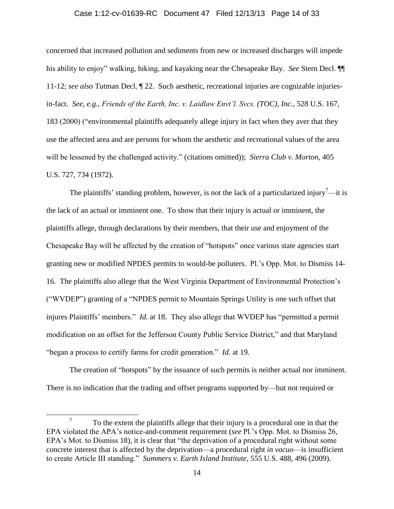#### Case 1:12-cv-01639-RC Document 47 Filed 12/13/13 Page 14 of 33

concerned that increased pollution and sediments from new or increased discharges will impede his ability to enjoy" walking, hiking, and kayaking near the Chesapeake Bay. *See* Stern Decl. ¶¶ 11-12; *see also* Tutman Decl. ¶ 22. Such aesthetic, recreational injuries are cognizable injuriesin-fact. *See, e.g.*, *Friends of the Earth, Inc. v. Laidlaw Envt'l. Svcs. (TOC), Inc.*, 528 U.S. 167, 183 (2000) ("environmental plaintiffs adequately allege injury in fact when they aver that they use the affected area and are persons for whom the aesthetic and recreational values of the area will be lessened by the challenged activity." (citations omitted)); *Sierra Club v. Morton*, 405 U.S. 727, 734 (1972).

The plaintiffs' standing problem, however, is not the lack of a particularized injury<sup>7</sup>—it is the lack of an actual or imminent one. To show that their injury is actual or imminent, the plaintiffs allege, through declarations by their members, that their use and enjoyment of the Chesapeake Bay will be affected by the creation of "hotspots" once various state agencies start granting new or modified NPDES permits to would-be polluters. Pl.'s Opp. Mot. to Dismiss 14- 16. The plaintiffs also allege that the West Virginia Department of Environmental Protection's ("WVDEP") granting of a "NPDES permit to Mountain Springs Utility is one such offset that injures Plaintiffs' members." *Id.* at 18. They also allege that WVDEP has "permitted a permit modification on an offset for the Jefferson County Public Service District," and that Maryland "began a process to certify farms for credit generation." *Id.* at 19.

The creation of "hotspots" by the issuance of such permits is neither actual nor imminent. There is no indication that the trading and offset programs supported by—but not required or

<sup>7</sup> To the extent the plaintiffs allege that their injury is a procedural one in that the EPA violated the APA's notice-and-comment requirement (*see* Pl.'s Opp. Mot. to Dismiss 26, EPA's Mot. to Dismiss 18), it is clear that "the deprivation of a procedural right without some concrete interest that is affected by the deprivation—a procedural right *in vacuo*—is insufficient to create Article III standing." *Summers v. Earth Island Institute*, 555 U.S. 488, 496 (2009).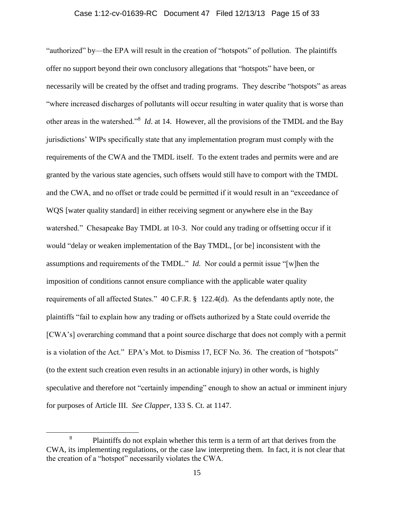## Case 1:12-cv-01639-RC Document 47 Filed 12/13/13 Page 15 of 33

"authorized" by—the EPA will result in the creation of "hotspots" of pollution. The plaintiffs offer no support beyond their own conclusory allegations that "hotspots" have been, or necessarily will be created by the offset and trading programs. They describe "hotspots" as areas "where increased discharges of pollutants will occur resulting in water quality that is worse than other areas in the watershed.<sup>38</sup> *Id*. at 14. However, all the provisions of the TMDL and the Bay jurisdictions' WIPs specifically state that any implementation program must comply with the requirements of the CWA and the TMDL itself. To the extent trades and permits were and are granted by the various state agencies, such offsets would still have to comport with the TMDL and the CWA, and no offset or trade could be permitted if it would result in an "exceedance of WQS [water quality standard] in either receiving segment or anywhere else in the Bay watershed." Chesapeake Bay TMDL at 10-3. Nor could any trading or offsetting occur if it would "delay or weaken implementation of the Bay TMDL, [or be] inconsistent with the assumptions and requirements of the TMDL." *Id.* Nor could a permit issue "[w]hen the imposition of conditions cannot ensure compliance with the applicable water quality requirements of all affected States." 40 C.F.R. § 122.4(d). As the defendants aptly note, the plaintiffs "fail to explain how any trading or offsets authorized by a State could override the [CWA's] overarching command that a point source discharge that does not comply with a permit is a violation of the Act." EPA's Mot. to Dismiss 17, ECF No. 36. The creation of "hotspots" (to the extent such creation even results in an actionable injury) in other words, is highly speculative and therefore not "certainly impending" enough to show an actual or imminent injury for purposes of Article III. *See Clapper*, 133 S. Ct. at 1147.

<sup>8</sup> Plaintiffs do not explain whether this term is a term of art that derives from the CWA, its implementing regulations, or the case law interpreting them. In fact, it is not clear that the creation of a "hotspot" necessarily violates the CWA.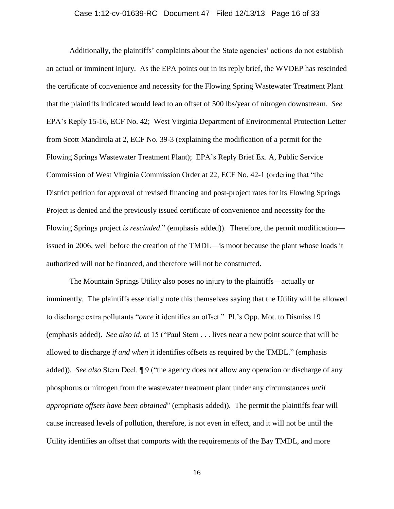# Case 1:12-cv-01639-RC Document 47 Filed 12/13/13 Page 16 of 33

Additionally, the plaintiffs' complaints about the State agencies' actions do not establish an actual or imminent injury. As the EPA points out in its reply brief, the WVDEP has rescinded the certificate of convenience and necessity for the Flowing Spring Wastewater Treatment Plant that the plaintiffs indicated would lead to an offset of 500 lbs/year of nitrogen downstream. *See* EPA's Reply 15-16, ECF No. 42; West Virginia Department of Environmental Protection Letter from Scott Mandirola at 2, ECF No. 39-3 (explaining the modification of a permit for the Flowing Springs Wastewater Treatment Plant); EPA's Reply Brief Ex. A, Public Service Commission of West Virginia Commission Order at 22, ECF No. 42-1 (ordering that "the District petition for approval of revised financing and post-project rates for its Flowing Springs Project is denied and the previously issued certificate of convenience and necessity for the Flowing Springs project *is rescinded*." (emphasis added)). Therefore, the permit modification issued in 2006, well before the creation of the TMDL—is moot because the plant whose loads it authorized will not be financed, and therefore will not be constructed.

The Mountain Springs Utility also poses no injury to the plaintiffs—actually or imminently. The plaintiffs essentially note this themselves saying that the Utility will be allowed to discharge extra pollutants "*once* it identifies an offset." Pl.'s Opp. Mot. to Dismiss 19 (emphasis added). *See also id.* at 15 ("Paul Stern . . . lives near a new point source that will be allowed to discharge *if and when* it identifies offsets as required by the TMDL." (emphasis added)). *See also* Stern Decl. ¶ 9 ("the agency does not allow any operation or discharge of any phosphorus or nitrogen from the wastewater treatment plant under any circumstances *until appropriate offsets have been obtained*" (emphasis added)). The permit the plaintiffs fear will cause increased levels of pollution, therefore, is not even in effect, and it will not be until the Utility identifies an offset that comports with the requirements of the Bay TMDL, and more

16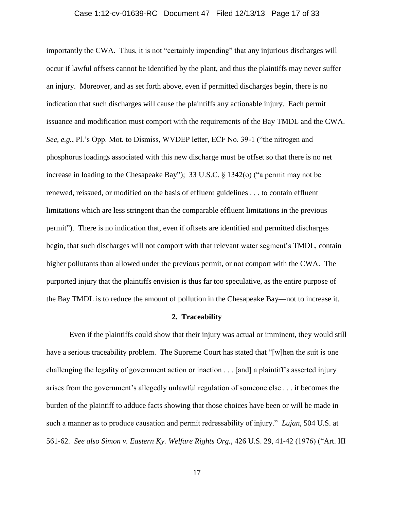# Case 1:12-cv-01639-RC Document 47 Filed 12/13/13 Page 17 of 33

importantly the CWA. Thus, it is not "certainly impending" that any injurious discharges will occur if lawful offsets cannot be identified by the plant, and thus the plaintiffs may never suffer an injury. Moreover, and as set forth above, even if permitted discharges begin, there is no indication that such discharges will cause the plaintiffs any actionable injury. Each permit issuance and modification must comport with the requirements of the Bay TMDL and the CWA. *See, e.g.*, Pl.'s Opp. Mot. to Dismiss, WVDEP letter, ECF No. 39-1 ("the nitrogen and phosphorus loadings associated with this new discharge must be offset so that there is no net increase in loading to the Chesapeake Bay"); 33 U.S.C. § 1342(o) ("a permit may not be renewed, reissued, or modified on the basis of effluent guidelines . . . to contain effluent limitations which are less stringent than the comparable effluent limitations in the previous permit"). There is no indication that, even if offsets are identified and permitted discharges begin, that such discharges will not comport with that relevant water segment's TMDL, contain higher pollutants than allowed under the previous permit, or not comport with the CWA. The purported injury that the plaintiffs envision is thus far too speculative, as the entire purpose of the Bay TMDL is to reduce the amount of pollution in the Chesapeake Bay—not to increase it.

### **2. Traceability**

Even if the plaintiffs could show that their injury was actual or imminent, they would still have a serious traceability problem. The Supreme Court has stated that "[w]hen the suit is one challenging the legality of government action or inaction . . . [and] a plaintiff's asserted injury arises from the government's allegedly unlawful regulation of someone else . . . it becomes the burden of the plaintiff to adduce facts showing that those choices have been or will be made in such a manner as to produce causation and permit redressability of injury." *Lujan*, 504 U.S. at 561-62. *See also Simon v. Eastern Ky. Welfare Rights Org.*, 426 U.S. 29, 41-42 (1976) ("Art. III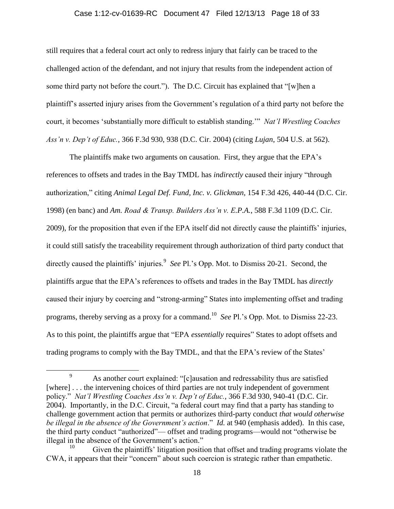#### Case 1:12-cv-01639-RC Document 47 Filed 12/13/13 Page 18 of 33

still requires that a federal court act only to redress injury that fairly can be traced to the challenged action of the defendant, and not injury that results from the independent action of some third party not before the court."). The D.C. Circuit has explained that "[w]hen a plaintiff's asserted injury arises from the Government's regulation of a third party not before the court, it becomes 'substantially more difficult to establish standing.'" *Nat'l Wrestling Coaches Ass'n v. Dep't of Educ.*, 366 F.3d 930, 938 (D.C. Cir. 2004) (citing *Lujan*, 504 U.S. at 562).

The plaintiffs make two arguments on causation. First, they argue that the EPA's references to offsets and trades in the Bay TMDL has *indirectly* caused their injury "through authorization," citing *Animal Legal Def. Fund, Inc. v. Glickman*, 154 F.3d 426, 440-44 (D.C. Cir. 1998) (en banc) and *Am. Road & Transp. Builders Ass'n v. E.P.A.*, 588 F.3d 1109 (D.C. Cir. 2009), for the proposition that even if the EPA itself did not directly cause the plaintiffs' injuries, it could still satisfy the traceability requirement through authorization of third party conduct that directly caused the plaintiffs' injuries.<sup>9</sup> See Pl.'s Opp. Mot. to Dismiss 20-21. Second, the plaintiffs argue that the EPA's references to offsets and trades in the Bay TMDL has *directly* caused their injury by coercing and "strong-arming" States into implementing offset and trading programs, thereby serving as a proxy for a command. 10 *See* Pl.'s Opp. Mot. to Dismiss 22-23. As to this point, the plaintiffs argue that "EPA *essentially* requires" States to adopt offsets and trading programs to comply with the Bay TMDL, and that the EPA's review of the States'

<sup>9</sup> As another court explained: "[c]ausation and redressability thus are satisfied [where] . . . the intervening choices of third parties are not truly independent of government policy." *Nat'l Wrestling Coaches Ass'n v. Dep't of Educ.*, 366 F.3d 930, 940-41 (D.C. Cir. 2004). Importantly, in the D.C. Circuit, "a federal court may find that a party has standing to challenge government action that permits or authorizes third-party conduct *that would otherwise be illegal in the absence of the Government's action*." *Id.* at 940 (emphasis added). In this case, the third party conduct "authorized"— offset and trading programs—would not "otherwise be illegal in the absence of the Government's action."

Given the plaintiffs' litigation position that offset and trading programs violate the CWA, it appears that their "concern" about such coercion is strategic rather than empathetic.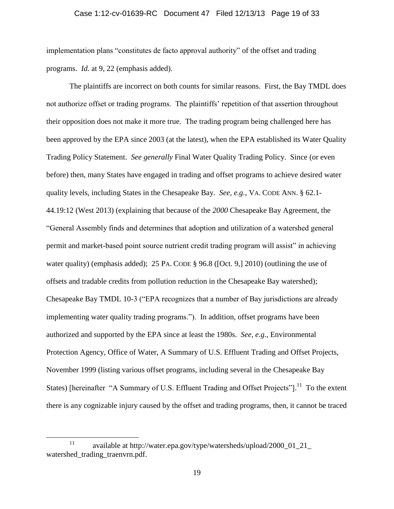# Case 1:12-cv-01639-RC Document 47 Filed 12/13/13 Page 19 of 33

implementation plans "constitutes de facto approval authority" of the offset and trading programs. *Id.* at 9, 22 (emphasis added).

The plaintiffs are incorrect on both counts for similar reasons. First, the Bay TMDL does not authorize offset or trading programs. The plaintiffs' repetition of that assertion throughout their opposition does not make it more true. The trading program being challenged here has been approved by the EPA since 2003 (at the latest), when the EPA established its Water Quality Trading Policy Statement. *See generally* Final Water Quality Trading Policy. Since (or even before) then, many States have engaged in trading and offset programs to achieve desired water quality levels, including States in the Chesapeake Bay. *See, e.g.*, VA. CODE ANN. § 62.1- 44.19:12 (West 2013) (explaining that because of the *2000* Chesapeake Bay Agreement, the "General Assembly finds and determines that adoption and utilization of a watershed general permit and market-based point source nutrient credit trading program will assist" in achieving water quality) (emphasis added); 25 PA. CODE § 96.8 ([Oct. 9,] 2010) (outlining the use of offsets and tradable credits from pollution reduction in the Chesapeake Bay watershed); Chesapeake Bay TMDL 10-3 ("EPA recognizes that a number of Bay jurisdictions are already implementing water quality trading programs."). In addition, offset programs have been authorized and supported by the EPA since at least the 1980s. *See, e.g.*, Environmental Protection Agency, Office of Water, A Summary of U.S. Effluent Trading and Offset Projects, November 1999 (listing various offset programs, including several in the Chesapeake Bay States) [hereinafter "A Summary of U.S. Effluent Trading and Offset Projects"].<sup>11</sup> To the extent there is any cognizable injury caused by the offset and trading programs, then, it cannot be traced

<sup>11</sup> available at [http://water.epa.gov/type/watersheds/upload/2000\\_01\\_21\\_](http://water.epa.gov/type/watersheds/upload/2000_01_21_watershed_trading_traenvrn.pdf) watershed trading traenvrn.pdf.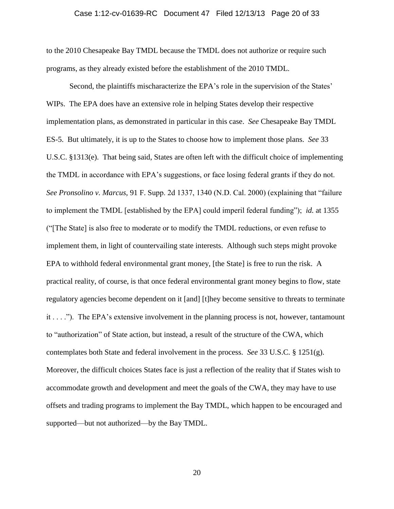# Case 1:12-cv-01639-RC Document 47 Filed 12/13/13 Page 20 of 33

to the 2010 Chesapeake Bay TMDL because the TMDL does not authorize or require such programs, as they already existed before the establishment of the 2010 TMDL.

Second, the plaintiffs mischaracterize the EPA's role in the supervision of the States' WIPs. The EPA does have an extensive role in helping States develop their respective implementation plans, as demonstrated in particular in this case. *See* Chesapeake Bay TMDL ES-5. But ultimately, it is up to the States to choose how to implement those plans. *See* 33 U.S.C. §1313(e). That being said, States are often left with the difficult choice of implementing the TMDL in accordance with EPA's suggestions, or face losing federal grants if they do not. *See Pronsolino v. Marcus*, 91 F. Supp. 2d 1337, 1340 (N.D. Cal. 2000) (explaining that "failure to implement the TMDL [established by the EPA] could imperil federal funding"); *id.* at 1355 ("[The State] is also free to moderate or to modify the TMDL reductions, or even refuse to implement them, in light of countervailing state interests. Although such steps might provoke EPA to withhold federal environmental grant money, [the State] is free to run the risk. A practical reality, of course, is that once federal environmental grant money begins to flow, state regulatory agencies become dependent on it [and] [t]hey become sensitive to threats to terminate it . . . ."). The EPA's extensive involvement in the planning process is not, however, tantamount to "authorization" of State action, but instead, a result of the structure of the CWA, which contemplates both State and federal involvement in the process. *See* 33 U.S.C*.* § 1251(g). Moreover, the difficult choices States face is just a reflection of the reality that if States wish to accommodate growth and development and meet the goals of the CWA, they may have to use offsets and trading programs to implement the Bay TMDL, which happen to be encouraged and supported—but not authorized—by the Bay TMDL.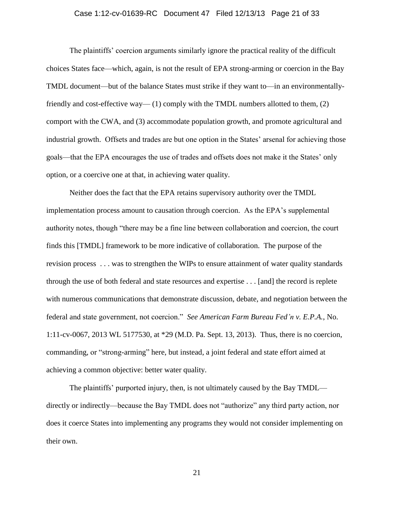## Case 1:12-cv-01639-RC Document 47 Filed 12/13/13 Page 21 of 33

The plaintiffs' coercion arguments similarly ignore the practical reality of the difficult choices States face—which, again, is not the result of EPA strong-arming or coercion in the Bay TMDL document—but of the balance States must strike if they want to—in an environmentallyfriendly and cost-effective way— (1) comply with the TMDL numbers allotted to them, (2) comport with the CWA, and (3) accommodate population growth, and promote agricultural and industrial growth. Offsets and trades are but one option in the States' arsenal for achieving those goals—that the EPA encourages the use of trades and offsets does not make it the States' only option, or a coercive one at that, in achieving water quality.

Neither does the fact that the EPA retains supervisory authority over the TMDL implementation process amount to causation through coercion. As the EPA's supplemental authority notes, though "there may be a fine line between collaboration and coercion, the court finds this [TMDL] framework to be more indicative of collaboration. The purpose of the revision process . . . was to strengthen the WIPs to ensure attainment of water quality standards through the use of both federal and state resources and expertise . . . [and] the record is replete with numerous communications that demonstrate discussion, debate, and negotiation between the federal and state government, not coercion." *See American Farm Bureau Fed'n v. E.P.A.*, No. 1:11-cv-0067, 2013 WL 5177530, at \*29 (M.D. Pa. Sept. 13, 2013). Thus, there is no coercion, commanding, or "strong-arming" here, but instead, a joint federal and state effort aimed at achieving a common objective: better water quality.

The plaintiffs' purported injury, then, is not ultimately caused by the Bay TMDL directly or indirectly—because the Bay TMDL does not "authorize" any third party action, nor does it coerce States into implementing any programs they would not consider implementing on their own.

21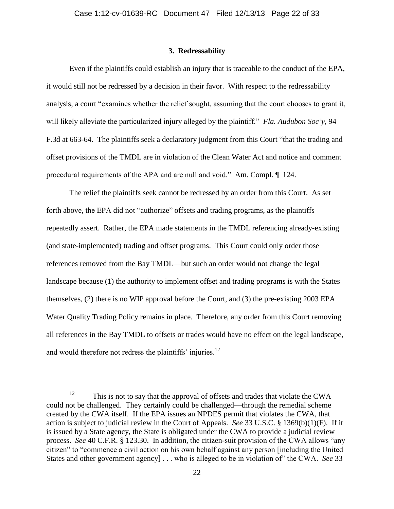## **3. Redressability**

Even if the plaintiffs could establish an injury that is traceable to the conduct of the EPA, it would still not be redressed by a decision in their favor. With respect to the redressability analysis, a court "examines whether the relief sought, assuming that the court chooses to grant it, will likely alleviate the particularized injury alleged by the plaintiff." *Fla. Audubon Soc'y*, 94 F.3d at 663-64. The plaintiffs seek a declaratory judgment from this Court "that the trading and offset provisions of the TMDL are in violation of the Clean Water Act and notice and comment procedural requirements of the APA and are null and void." Am. Compl. ¶ 124.

The relief the plaintiffs seek cannot be redressed by an order from this Court. As set forth above, the EPA did not "authorize" offsets and trading programs, as the plaintiffs repeatedly assert. Rather, the EPA made statements in the TMDL referencing already-existing (and state-implemented) trading and offset programs. This Court could only order those references removed from the Bay TMDL—but such an order would not change the legal landscape because (1) the authority to implement offset and trading programs is with the States themselves, (2) there is no WIP approval before the Court, and (3) the pre-existing 2003 EPA Water Quality Trading Policy remains in place. Therefore, any order from this Court removing all references in the Bay TMDL to offsets or trades would have no effect on the legal landscape, and would therefore not redress the plaintiffs' injuries. $^{12}$ 

<sup>&</sup>lt;sup>12</sup> This is not to say that the approval of offsets and trades that violate the CWA could not be challenged. They certainly could be challenged—through the remedial scheme created by the CWA itself. If the EPA issues an NPDES permit that violates the CWA, that action is subject to judicial review in the Court of Appeals. *See* 33 U.S.C. § 1369(b)(1)(F). If it is issued by a State agency, the State is obligated under the CWA to provide a judicial review process. *See* 40 C.F.R. § 123.30. In addition, the citizen-suit provision of the CWA allows "any citizen" to "commence a civil action on his own behalf against any person [including the United States and other government agency] . . . who is alleged to be in violation of" the CWA. *See* 33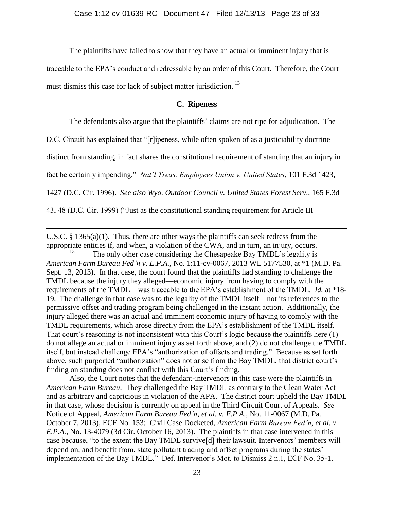The plaintiffs have failed to show that they have an actual or imminent injury that is

traceable to the EPA's conduct and redressable by an order of this Court. Therefore, the Court must dismiss this case for lack of subject matter jurisdiction.<sup>13</sup>

## **C. Ripeness**

The defendants also argue that the plaintiffs' claims are not ripe for adjudication. The

D.C. Circuit has explained that "[r]ipeness, while often spoken of as a justiciability doctrine

distinct from standing, in fact shares the constitutional requirement of standing that an injury in

fact be certainly impending." *Nat'l Treas. Employees Union v. United States*, 101 F.3d 1423,

1427 (D.C. Cir. 1996). *See also Wyo. Outdoor Council v. United States Forest Serv.*, 165 F.3d

43, 48 (D.C. Cir. 1999) ("Just as the constitutional standing requirement for Article III

 $\overline{a}$ 

U.S.C. § 1365(a)(1). Thus, there are other ways the plaintiffs can seek redress from the appropriate entities if, and when, a violation of the CWA, and in turn, an injury, occurs.

The only other case considering the Chesapeake Bay TMDL's legality is *American Farm Bureau Fed'n v. E.P.A.*, No. 1:11-cv-0067, 2013 WL 5177530, at \*1 (M.D. Pa. Sept. 13, 2013). In that case, the court found that the plaintiffs had standing to challenge the TMDL because the injury they alleged—economic injury from having to comply with the requirements of the TMDL—was traceable to the EPA's establishment of the TMDL. *Id.* at \*18- 19. The challenge in that case was to the legality of the TMDL itself—not its references to the permissive offset and trading program being challenged in the instant action. Additionally, the injury alleged there was an actual and imminent economic injury of having to comply with the TMDL requirements, which arose directly from the EPA's establishment of the TMDL itself. That court's reasoning is not inconsistent with this Court's logic because the plaintiffs here (1) do not allege an actual or imminent injury as set forth above, and (2) do not challenge the TMDL itself, but instead challenge EPA's "authorization of offsets and trading." Because as set forth above, such purported "authorization" does not arise from the Bay TMDL, that district court's finding on standing does not conflict with this Court's finding.

Also, the Court notes that the defendant-intervenors in this case were the plaintiffs in *American Farm Bureau*. They challenged the Bay TMDL as contrary to the Clean Water Act and as arbitrary and capricious in violation of the APA. The district court upheld the Bay TMDL in that case, whose decision is currently on appeal in the Third Circuit Court of Appeals. *See*  Notice of Appeal*, American Farm Bureau Fed'n, et al. v. E.P.A.*, No. 11-0067 (M.D. Pa. October 7, 2013), ECF No. 153; Civil Case Docketed, *American Farm Bureau Fed'n, et al. v. E.P.A.,* No. 13-4079 (3d Cir. October 16, 2013). The plaintiffs in that case intervened in this case because, "to the extent the Bay TMDL survive[d] their lawsuit, Intervenors' members will depend on, and benefit from, state pollutant trading and offset programs during the states' implementation of the Bay TMDL." Def. Intervenor's Mot. to Dismiss 2 n.1, ECF No. 35-1.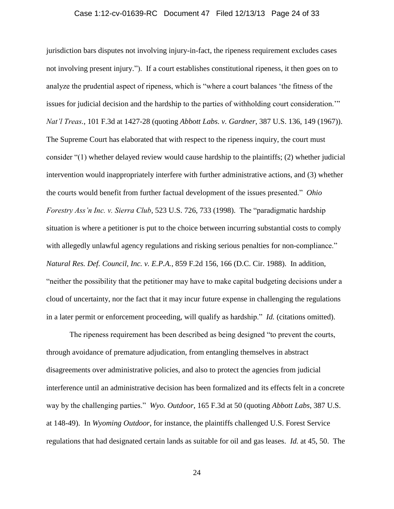# Case 1:12-cv-01639-RC Document 47 Filed 12/13/13 Page 24 of 33

jurisdiction bars disputes not involving injury-in-fact, the ripeness requirement excludes cases not involving present injury."). If a court establishes constitutional ripeness, it then goes on to analyze the prudential aspect of ripeness, which is "where a court balances 'the fitness of the issues for judicial decision and the hardship to the parties of withholding court consideration.'" *Nat'l Treas.*, 101 F.3d at 1427-28 (quoting *Abbott Labs. v. Gardner*, 387 U.S. 136, 149 (1967)). The Supreme Court has elaborated that with respect to the ripeness inquiry, the court must consider "(1) whether delayed review would cause hardship to the plaintiffs; (2) whether judicial intervention would inappropriately interfere with further administrative actions, and (3) whether the courts would benefit from further factual development of the issues presented." *Ohio Forestry Ass'n Inc. v. Sierra Club*, 523 U.S. 726, 733 (1998). The "paradigmatic hardship situation is where a petitioner is put to the choice between incurring substantial costs to comply with allegedly unlawful agency regulations and risking serious penalties for non-compliance." *Natural Res. Def. Council, Inc. v. E.P.A.*, 859 F.2d 156, 166 (D.C. Cir. 1988). In addition, "neither the possibility that the petitioner may have to make capital budgeting decisions under a cloud of uncertainty, nor the fact that it may incur future expense in challenging the regulations in a later permit or enforcement proceeding, will qualify as hardship." *Id.* (citations omitted).

The ripeness requirement has been described as being designed "to prevent the courts, through avoidance of premature adjudication, from entangling themselves in abstract disagreements over administrative policies, and also to protect the agencies from judicial interference until an administrative decision has been formalized and its effects felt in a concrete way by the challenging parties." *Wyo. Outdoor*, 165 F.3d at 50 (quoting *Abbott Labs*, 387 U.S. at 148-49). In *Wyoming Outdoor*, for instance, the plaintiffs challenged U.S. Forest Service regulations that had designated certain lands as suitable for oil and gas leases. *Id.* at 45, 50. The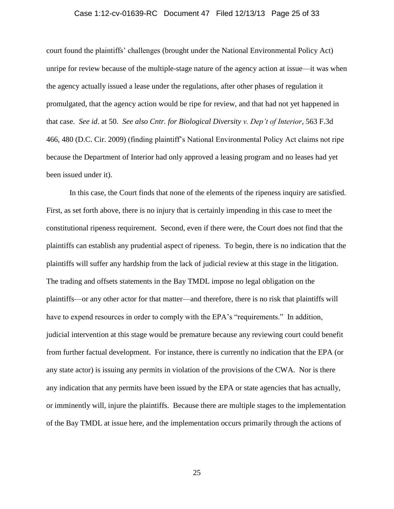# Case 1:12-cv-01639-RC Document 47 Filed 12/13/13 Page 25 of 33

court found the plaintiffs' challenges (brought under the National Environmental Policy Act) unripe for review because of the multiple-stage nature of the agency action at issue—it was when the agency actually issued a lease under the regulations, after other phases of regulation it promulgated, that the agency action would be ripe for review, and that had not yet happened in that case. *See id*. at 50. *See also Cntr. for Biological Diversity v. Dep't of Interior*, 563 F.3d 466, 480 (D.C. Cir. 2009) (finding plaintiff's National Environmental Policy Act claims not ripe because the Department of Interior had only approved a leasing program and no leases had yet been issued under it).

In this case, the Court finds that none of the elements of the ripeness inquiry are satisfied. First, as set forth above, there is no injury that is certainly impending in this case to meet the constitutional ripeness requirement. Second, even if there were, the Court does not find that the plaintiffs can establish any prudential aspect of ripeness. To begin, there is no indication that the plaintiffs will suffer any hardship from the lack of judicial review at this stage in the litigation. The trading and offsets statements in the Bay TMDL impose no legal obligation on the plaintiffs—or any other actor for that matter—and therefore, there is no risk that plaintiffs will have to expend resources in order to comply with the EPA's "requirements." In addition, judicial intervention at this stage would be premature because any reviewing court could benefit from further factual development. For instance, there is currently no indication that the EPA (or any state actor) is issuing any permits in violation of the provisions of the CWA. Nor is there any indication that any permits have been issued by the EPA or state agencies that has actually, or imminently will, injure the plaintiffs. Because there are multiple stages to the implementation of the Bay TMDL at issue here, and the implementation occurs primarily through the actions of

25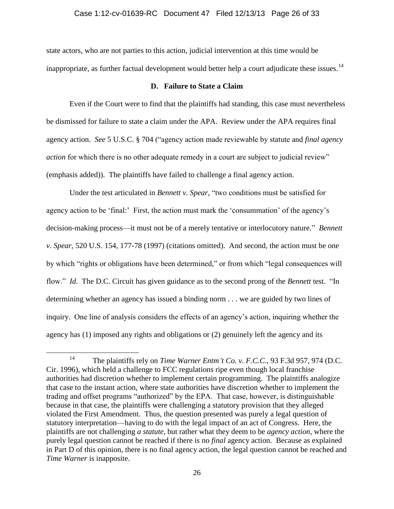## Case 1:12-cv-01639-RC Document 47 Filed 12/13/13 Page 26 of 33

state actors, who are not parties to this action, judicial intervention at this time would be inappropriate, as further factual development would better help a court adjudicate these issues.<sup>14</sup>

## **D. Failure to State a Claim**

Even if the Court were to find that the plaintiffs had standing, this case must nevertheless be dismissed for failure to state a claim under the APA. Review under the APA requires final agency action. *See* 5 U.S.C. § 704 ("agency action made reviewable by statute and *final agency action* for which there is no other adequate remedy in a court are subject to judicial review" (emphasis added)). The plaintiffs have failed to challenge a final agency action.

Under the test articulated in *Bennett v. Spear*, "two conditions must be satisfied for agency action to be 'final:' First, the action must mark the 'consummation' of the agency's decision-making process—it must not be of a merely tentative or interlocutory nature." *Bennett v. Spear*, 520 U.S. 154, 177-78 (1997) (citations omitted). And second, the action must be one by which "rights or obligations have been determined," or from which "legal consequences will flow." *Id.* The D.C. Circuit has given guidance as to the second prong of the *Bennett* test. "In determining whether an agency has issued a binding norm . . . we are guided by two lines of inquiry. One line of analysis considers the effects of an agency's action, inquiring whether the agency has (1) imposed any rights and obligations or (2) genuinely left the agency and its

<sup>14</sup> The plaintiffs rely on *Time Warner Entm't Co. v. F.C.C.*, 93 F.3d 957, 974 (D.C. Cir. 1996), which held a challenge to FCC regulations ripe even though local franchise authorities had discretion whether to implement certain programming. The plaintiffs analogize that case to the instant action, where state authorities have discretion whether to implement the trading and offset programs "authorized" by the EPA. That case, however, is distinguishable because in that case, the plaintiffs were challenging a statutory provision that they alleged violated the First Amendment. Thus, the question presented was purely a legal question of statutory interpretation—having to do with the legal impact of an act of Congress. Here, the plaintiffs are not challenging *a statute*, but rather what they deem to be *agency action*, where the purely legal question cannot be reached if there is no *final* agency action. Because as explained in Part D of this opinion, there is no final agency action, the legal question cannot be reached and *Time Warner* is inapposite.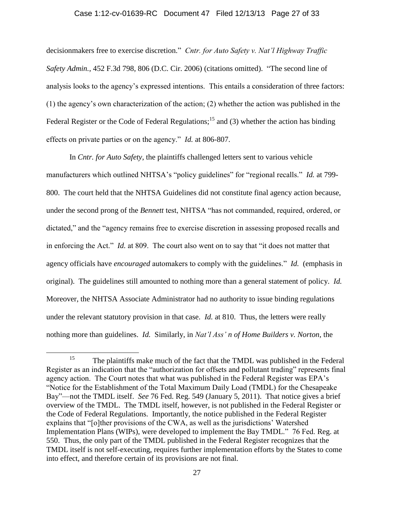### Case 1:12-cv-01639-RC Document 47 Filed 12/13/13 Page 27 of 33

decisionmakers free to exercise discretion." *Cntr. for Auto Safety v. Nat'l Highway Traffic Safety Admin.*, 452 F.3d 798, 806 (D.C. Cir. 2006) (citations omitted). "The second line of analysis looks to the agency's expressed intentions. This entails a consideration of three factors: (1) the agency's own characterization of the action; (2) whether the action was published in the Federal Register or the Code of Federal Regulations;<sup>15</sup> and (3) whether the action has binding effects on private parties or on the agency." *Id.* at 806-807.

In *Cntr. for Auto Safety*, the plaintiffs challenged letters sent to various vehicle manufacturers which outlined NHTSA's "policy guidelines" for "regional recalls." *Id.* at 799- 800. The court held that the NHTSA Guidelines did not constitute final agency action because, under the second prong of the *Bennett* test, NHTSA "has not commanded, required, ordered, or dictated," and the "agency remains free to exercise discretion in assessing proposed recalls and in enforcing the Act." *Id.* at 809. The court also went on to say that "it does not matter that agency officials have *encouraged* automakers to comply with the guidelines." *Id.* (emphasis in original). The guidelines still amounted to nothing more than a general statement of policy. *Id.* Moreover, the NHTSA Associate Administrator had no authority to issue binding regulations under the relevant statutory provision in that case. *Id.* at 810. Thus, the letters were really nothing more than guidelines. *Id.* Similarly, in *Nat'l Ass' n of Home Builders v. Norton*, the

<sup>&</sup>lt;sup>15</sup> The plaintiffs make much of the fact that the TMDL was published in the Federal Register as an indication that the "authorization for offsets and pollutant trading" represents final agency action. The Court notes that what was published in the Federal Register was EPA's "Notice for the Establishment of the Total Maximum Daily Load (TMDL) for the Chesapeake Bay"—not the TMDL itself. *See* 76 Fed. Reg. 549 (January 5, 2011). That notice gives a brief overview of the TMDL. The TMDL itself, however, is not published in the Federal Register or the Code of Federal Regulations. Importantly, the notice published in the Federal Register explains that "[o]ther provisions of the CWA, as well as the jurisdictions' Watershed Implementation Plans (WIPs), were developed to implement the Bay TMDL." 76 Fed. Reg. at 550. Thus, the only part of the TMDL published in the Federal Register recognizes that the TMDL itself is not self-executing, requires further implementation efforts by the States to come into effect, and therefore certain of its provisions are not final.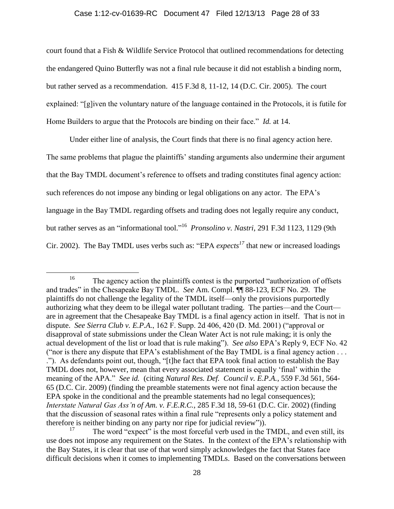## Case 1:12-cv-01639-RC Document 47 Filed 12/13/13 Page 28 of 33

court found that a Fish & Wildlife Service Protocol that outlined recommendations for detecting the endangered Quino Butterfly was not a final rule because it did not establish a binding norm, but rather served as a recommendation. 415 F.3d 8, 11-12, 14 (D.C. Cir. 2005). The court explained: "[g]iven the voluntary nature of the language contained in the Protocols, it is futile for Home Builders to argue that the Protocols are binding on their face." *Id.* at 14.

Under either line of analysis, the Court finds that there is no final agency action here. The same problems that plague the plaintiffs' standing arguments also undermine their argument that the Bay TMDL document's reference to offsets and trading constitutes final agency action: such references do not impose any binding or legal obligations on any actor. The EPA's language in the Bay TMDL regarding offsets and trading does not legally require any conduct, but rather serves as an "informational tool." <sup>16</sup> *Pronsolino v. Nastri*, 291 F.3d 1123, 1129 (9th Cir. 2002). The Bay TMDL uses verbs such as: "EPA *expects<sup>17</sup>* that new or increased loadings

<sup>&</sup>lt;sup>16</sup> The agency action the plaintiffs contest is the purported "authorization of offsets" and trades" in the Chesapeake Bay TMDL. *See* Am. Compl. ¶¶ 88-123, ECF No. 29. The plaintiffs do not challenge the legality of the TMDL itself—only the provisions purportedly authorizing what they deem to be illegal water pollutant trading. The parties—and the Court are in agreement that the Chesapeake Bay TMDL is a final agency action in itself. That is not in dispute. *See Sierra Club v. E.P.A.*, 162 F. Supp. 2d 406, 420 (D. Md. 2001) ("approval or disapproval of state submissions under the Clean Water Act is not rule making; it is only the actual development of the list or load that is rule making"). *See also* EPA's Reply 9, ECF No. 42 ("nor is there any dispute that EPA's establishment of the Bay TMDL is a final agency action . . . ."). As defendants point out, though, "[t]he fact that EPA took final action to establish the Bay TMDL does not, however, mean that every associated statement is equally 'final' within the meaning of the APA." *See id.* (citing *Natural Res. Def. Council v. E.P.A.*, 559 F.3d 561, 564- 65 (D.C. Cir. 2009) (finding the preamble statements were not final agency action because the EPA spoke in the conditional and the preamble statements had no legal consequences); *Interstate Natural Gas Ass'n of Am. v. F.E.R.C.*, 285 F.3d 18, 59-61 (D.C. Cir. 2002) (finding that the discussion of seasonal rates within a final rule "represents only a policy statement and therefore is neither binding on any party nor ripe for judicial review")).

The word "expect" is the most forceful verb used in the TMDL, and even still, its use does not impose any requirement on the States. In the context of the EPA's relationship with the Bay States, it is clear that use of that word simply acknowledges the fact that States face difficult decisions when it comes to implementing TMDLs. Based on the conversations between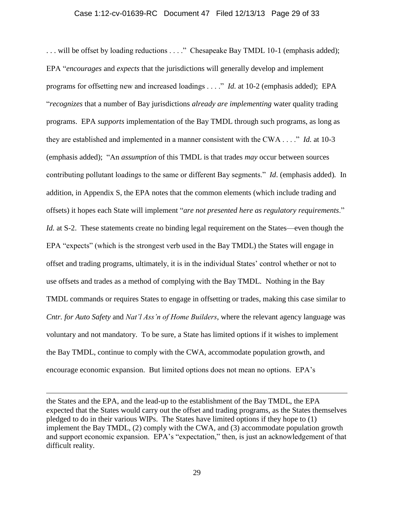### Case 1:12-cv-01639-RC Document 47 Filed 12/13/13 Page 29 of 33

... will be offset by loading reductions ...." Chesapeake Bay TMDL 10-1 (emphasis added); EPA "*encourages* and *expects* that the jurisdictions will generally develop and implement programs for offsetting new and increased loadings . . . ." *Id.* at 10-2 (emphasis added); EPA "*recognizes* that a number of Bay jurisdictions *already are implementing* water quality trading programs. EPA *supports* implementation of the Bay TMDL through such programs, as long as they are established and implemented in a manner consistent with the CWA . . . ." *Id.* at 10-3 (emphasis added); "An *assumption* of this TMDL is that trades *may* occur between sources contributing pollutant loadings to the same or different Bay segments." *Id*. (emphasis added)*.* In addition, in Appendix S, the EPA notes that the common elements (which include trading and offsets) it hopes each State will implement "*are not presented here as regulatory requirements*." *Id.* at S-2. These statements create no binding legal requirement on the States—even though the EPA "expects" (which is the strongest verb used in the Bay TMDL) the States will engage in offset and trading programs, ultimately, it is in the individual States' control whether or not to use offsets and trades as a method of complying with the Bay TMDL. Nothing in the Bay TMDL commands or requires States to engage in offsetting or trades, making this case similar to *Cntr. for Auto Safety* and *Nat'l Ass'n of Home Builders*, where the relevant agency language was voluntary and not mandatory. To be sure, a State has limited options if it wishes to implement the Bay TMDL, continue to comply with the CWA, accommodate population growth, and encourage economic expansion. But limited options does not mean no options. EPA's

the States and the EPA, and the lead-up to the establishment of the Bay TMDL, the EPA expected that the States would carry out the offset and trading programs, as the States themselves pledged to do in their various WIPs. The States have limited options if they hope to (1) implement the Bay TMDL, (2) comply with the CWA, and (3) accommodate population growth and support economic expansion. EPA's "expectation," then, is just an acknowledgement of that difficult reality.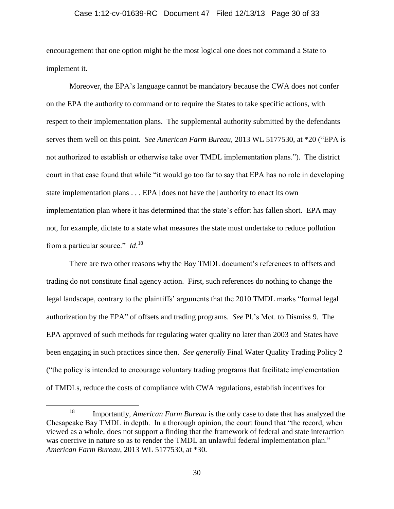#### Case 1:12-cv-01639-RC Document 47 Filed 12/13/13 Page 30 of 33

encouragement that one option might be the most logical one does not command a State to implement it.

Moreover, the EPA's language cannot be mandatory because the CWA does not confer on the EPA the authority to command or to require the States to take specific actions, with respect to their implementation plans. The supplemental authority submitted by the defendants serves them well on this point. *See American Farm Bureau*, 2013 WL 5177530, at \*20 ("EPA is not authorized to establish or otherwise take over TMDL implementation plans."). The district court in that case found that while "it would go too far to say that EPA has no role in developing state implementation plans . . . EPA [does not have the] authority to enact its own implementation plan where it has determined that the state's effort has fallen short. EPA may not, for example, dictate to a state what measures the state must undertake to reduce pollution from a particular source." *Id*. 18

There are two other reasons why the Bay TMDL document's references to offsets and trading do not constitute final agency action. First, such references do nothing to change the legal landscape, contrary to the plaintiffs' arguments that the 2010 TMDL marks "formal legal authorization by the EPA" of offsets and trading programs. *See* Pl.'s Mot. to Dismiss 9. The EPA approved of such methods for regulating water quality no later than 2003 and States have been engaging in such practices since then. *See generally* Final Water Quality Trading Policy 2 ("the policy is intended to encourage voluntary trading programs that facilitate implementation of TMDLs, reduce the costs of compliance with CWA regulations, establish incentives for

<sup>18</sup> Importantly, *American Farm Bureau* is the only case to date that has analyzed the Chesapeake Bay TMDL in depth. In a thorough opinion, the court found that "the record, when viewed as a whole, does not support a finding that the framework of federal and state interaction was coercive in nature so as to render the TMDL an unlawful federal implementation plan." *American Farm Bureau*, 2013 WL 5177530, at \*30.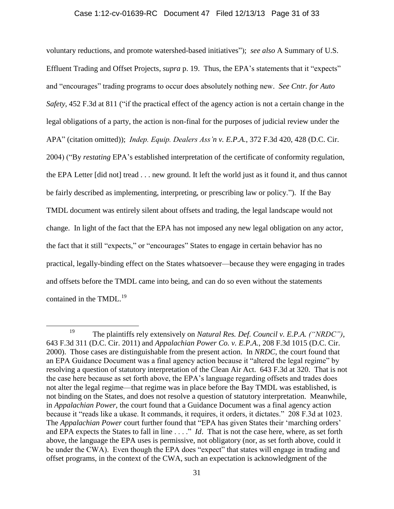## Case 1:12-cv-01639-RC Document 47 Filed 12/13/13 Page 31 of 33

voluntary reductions, and promote watershed-based initiatives"); *see also* A Summary of U.S. Effluent Trading and Offset Projects, *supra* p. 19. Thus, the EPA's statements that it "expects" and "encourages" trading programs to occur does absolutely nothing new. *See Cntr. for Auto Safety*, 452 F.3d at 811 ("if the practical effect of the agency action is not a certain change in the legal obligations of a party, the action is non-final for the purposes of judicial review under the APA" (citation omitted)); *Indep. Equip. Dealers Ass'n v. E.P.A.*, 372 F.3d 420, 428 (D.C. Cir. 2004) ("By *restating* EPA's established interpretation of the certificate of conformity regulation, the EPA Letter [did not] tread . . . new ground. It left the world just as it found it, and thus cannot be fairly described as implementing, interpreting, or prescribing law or policy."). If the Bay TMDL document was entirely silent about offsets and trading, the legal landscape would not change. In light of the fact that the EPA has not imposed any new legal obligation on any actor, the fact that it still "expects," or "encourages" States to engage in certain behavior has no practical, legally-binding effect on the States whatsoever—because they were engaging in trades and offsets before the TMDL came into being, and can do so even without the statements contained in the TMDL.<sup>19</sup>

<sup>19</sup> The plaintiffs rely extensively on *Natural Res. Def. Council v. E.P.A. ("NRDC")*, 643 F.3d 311 (D.C. Cir. 2011) and *Appalachian Power Co. v. E.P.A.*, 208 F.3d 1015 (D.C. Cir. 2000). Those cases are distinguishable from the present action. In *NRDC*, the court found that an EPA Guidance Document was a final agency action because it "altered the legal regime" by resolving a question of statutory interpretation of the Clean Air Act. 643 F.3d at 320. That is not the case here because as set forth above, the EPA's language regarding offsets and trades does not alter the legal regime—that regime was in place before the Bay TMDL was established, is not binding on the States, and does not resolve a question of statutory interpretation. Meanwhile, in *Appalachian Power*, the court found that a Guidance Document was a final agency action because it "reads like a ukase. It commands, it requires, it orders, it dictates." 208 F.3d at 1023. The *Appalachian Power* court further found that "EPA has given States their 'marching orders' and EPA expects the States to fall in line . . . ." *Id*. That is not the case here, where, as set forth above, the language the EPA uses is permissive, not obligatory (nor, as set forth above, could it be under the CWA). Even though the EPA does "expect" that states will engage in trading and offset programs, in the context of the CWA, such an expectation is acknowledgment of the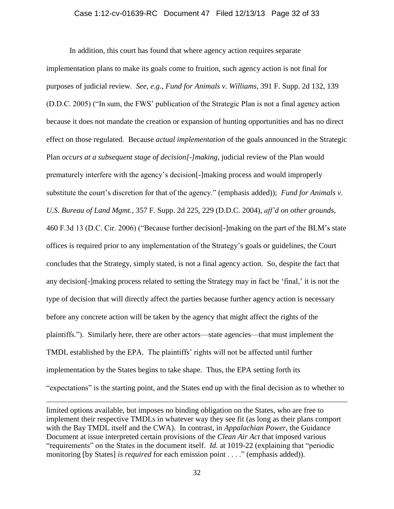#### Case 1:12-cv-01639-RC Document 47 Filed 12/13/13 Page 32 of 33

In addition, this court has found that where agency action requires separate implementation plans to make its goals come to fruition, such agency action is not final for purposes of judicial review. *See, e.g.*, *Fund for Animals v. Williams*, 391 F. Supp. 2d 132, 139 (D.D.C. 2005) ("In sum, the FWS' publication of the Strategic Plan is not a final agency action because it does not mandate the creation or expansion of hunting opportunities and has no direct effect on those regulated. Because *actual implementation* of the goals announced in the Strategic Plan *occurs at a subsequent stage of decision[-]making*, judicial review of the Plan would prematurely interfere with the agency's decision[-]making process and would improperly substitute the court's discretion for that of the agency." (emphasis added)); *Fund for Animals v. U.S. Bureau of Land Mgmt.*, 357 F. Supp. 2d 225, 229 (D.D.C. 2004), *aff'd on other grounds*, 460 F.3d 13 (D.C. Cir. 2006) ("Because further decision[-]making on the part of the BLM's state offices is required prior to any implementation of the Strategy's goals or guidelines, the Court concludes that the Strategy, simply stated, is not a final agency action. So, despite the fact that any decision[-]making process related to setting the Strategy may in fact be 'final,' it is not the type of decision that will directly affect the parties because further agency action is necessary before any concrete action will be taken by the agency that might affect the rights of the plaintiffs."). Similarly here, there are other actors—state agencies—that must implement the TMDL established by the EPA. The plaintiffs' rights will not be affected until further implementation by the States begins to take shape. Thus, the EPA setting forth its "expectations" is the starting point, and the States end up with the final decision as to whether to

limited options available, but imposes no binding obligation on the States, who are free to implement their respective TMDLs in whatever way they see fit (as long as their plans comport with the Bay TMDL itself and the CWA). In contrast, in *Appalachian Power*, the Guidance Document at issue interpreted certain provisions of the *Clean Air Act* that imposed various "requirements" on the States in the document itself. *Id.* at 1019-22 (explaining that "periodic monitoring [by States] *is required* for each emission point . . . ." (emphasis added)).